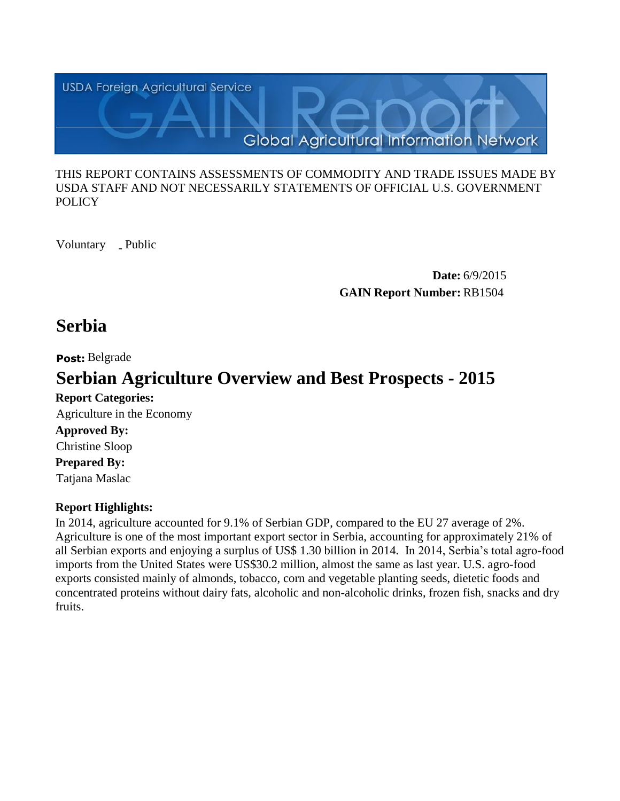

#### THIS REPORT CONTAINS ASSESSMENTS OF COMMODITY AND TRADE ISSUES MADE BY USDA STAFF AND NOT NECESSARILY STATEMENTS OF OFFICIAL U.S. GOVERNMENT **POLICY**

Voluntary \_ Public

**Date:** 6/9/2015 **GAIN Report Number:** RB1504

# **Serbia**

**Post:** Belgrade

# **Serbian Agriculture Overview and Best Prospects - 2015**

**Report Categories: Approved By: Prepared By:**  Tatjana Maslac Christine Sloop Agriculture in the Economy

# **Report Highlights:**

In 2014, agriculture accounted for 9.1% of Serbian GDP, compared to the EU 27 average of 2%. Agriculture is one of the most important export sector in Serbia, accounting for approximately 21% of all Serbian exports and enjoying a surplus of US\$ 1.30 billion in 2014. In 2014, Serbia's total agro-food imports from the United States were US\$30.2 million, almost the same as last year. U.S. agro-food exports consisted mainly of almonds, tobacco, corn and vegetable planting seeds, dietetic foods and concentrated proteins without dairy fats, alcoholic and non-alcoholic drinks, frozen fish, snacks and dry fruits.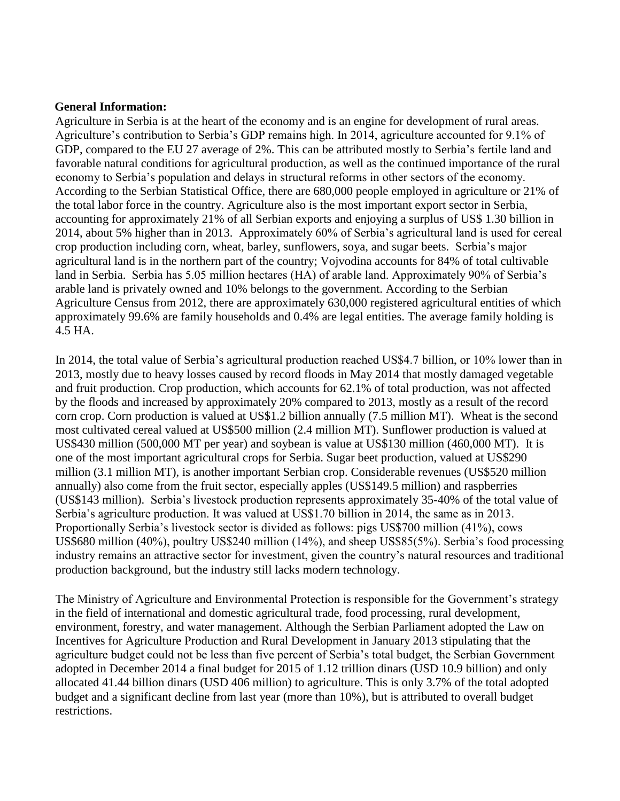#### **General Information:**

Agriculture in Serbia is at the heart of the economy and is an engine for development of rural areas. Agriculture's contribution to Serbia's GDP remains high. In 2014, agriculture accounted for 9.1% of GDP, compared to the EU 27 average of 2%. This can be attributed mostly to Serbia's fertile land and favorable natural conditions for agricultural production, as well as the continued importance of the rural economy to Serbia's population and delays in structural reforms in other sectors of the economy. According to the Serbian Statistical Office, there are 680,000 people employed in agriculture or 21% of the total labor force in the country. Agriculture also is the most important export sector in Serbia, accounting for approximately 21% of all Serbian exports and enjoying a surplus of US\$ 1.30 billion in 2014, about 5% higher than in 2013. Approximately 60% of Serbia's agricultural land is used for cereal crop production including corn, wheat, barley, sunflowers, soya, and sugar beets. Serbia's major agricultural land is in the northern part of the country; Vojvodina accounts for 84% of total cultivable land in Serbia. Serbia has 5.05 million hectares (HA) of arable land. Approximately 90% of Serbia's arable land is privately owned and 10% belongs to the government. According to the Serbian Agriculture Census from 2012, there are approximately 630,000 registered agricultural entities of which approximately 99.6% are family households and 0.4% are legal entities. The average family holding is 4.5 HA.

In 2014, the total value of Serbia's agricultural production reached US\$4.7 billion, or 10% lower than in 2013, mostly due to heavy losses caused by record floods in May 2014 that mostly damaged vegetable and fruit production. Crop production, which accounts for 62.1% of total production, was not affected by the floods and increased by approximately 20% compared to 2013, mostly as a result of the record corn crop. Corn production is valued at US\$1.2 billion annually (7.5 million MT). Wheat is the second most cultivated cereal valued at US\$500 million (2.4 million MT). Sunflower production is valued at US\$430 million (500,000 MT per year) and soybean is value at US\$130 million (460,000 MT). It is one of the most important agricultural crops for Serbia. Sugar beet production, valued at US\$290 million (3.1 million MT), is another important Serbian crop. Considerable revenues (US\$520 million annually) also come from the fruit sector, especially apples (US\$149.5 million) and raspberries (US\$143 million). Serbia's livestock production represents approximately 35-40% of the total value of Serbia's agriculture production. It was valued at US\$1.70 billion in 2014, the same as in 2013. Proportionally Serbia's livestock sector is divided as follows: pigs US\$700 million (41%), cows US\$680 million (40%), poultry US\$240 million (14%), and sheep US\$85(5%). Serbia's food processing industry remains an attractive sector for investment, given the country's natural resources and traditional production background, but the industry still lacks modern technology.

The Ministry of Agriculture and Environmental Protection is responsible for the Government's strategy in the field of international and domestic agricultural trade, food processing, rural development, environment, forestry, and water management. Although the Serbian Parliament adopted the Law on Incentives for Agriculture Production and Rural Development in January 2013 stipulating that the agriculture budget could not be less than five percent of Serbia's total budget, the Serbian Government adopted in December 2014 a final budget for 2015 of 1.12 trillion dinars (USD 10.9 billion) and only allocated 41.44 billion dinars (USD 406 million) to agriculture. This is only 3.7% of the total adopted budget and a significant decline from last year (more than 10%), but is attributed to overall budget restrictions.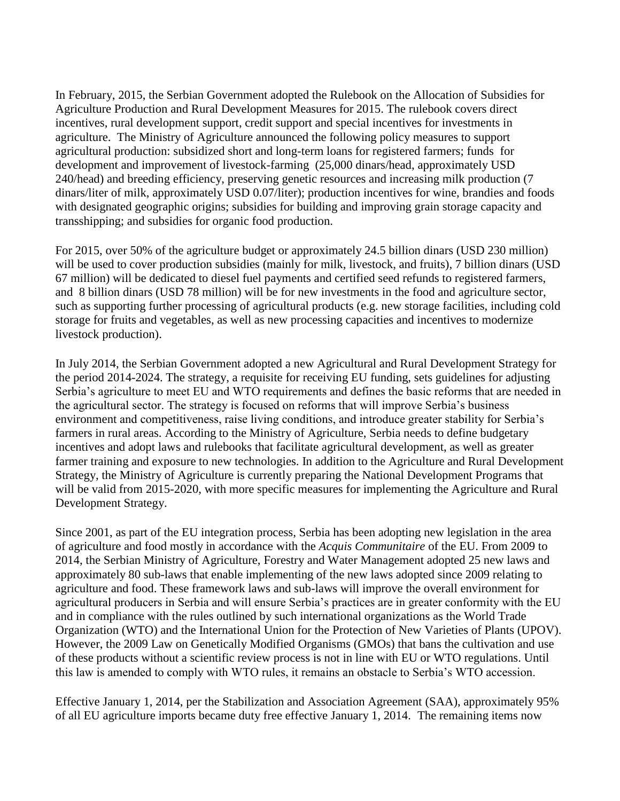In February, 2015, the Serbian Government adopted the Rulebook on the Allocation of Subsidies for Agriculture Production and Rural Development Measures for 2015. The rulebook covers direct incentives, rural development support, credit support and special incentives for investments in agriculture. The Ministry of Agriculture announced the following policy measures to support agricultural production: subsidized short and long-term loans for registered farmers; funds for development and improvement of livestock-farming (25,000 dinars/head, approximately USD 240/head) and breeding efficiency, preserving genetic resources and increasing milk production (7 dinars/liter of milk, approximately USD 0.07/liter); production incentives for wine, brandies and foods with designated geographic origins; subsidies for building and improving grain storage capacity and transshipping; and subsidies for organic food production.

For 2015, over 50% of the agriculture budget or approximately 24.5 billion dinars (USD 230 million) will be used to cover production subsidies (mainly for milk, livestock, and fruits), 7 billion dinars (USD 67 million) will be dedicated to diesel fuel payments and certified seed refunds to registered farmers, and 8 billion dinars (USD 78 million) will be for new investments in the food and agriculture sector, such as supporting further processing of agricultural products (e.g. new storage facilities, including cold storage for fruits and vegetables, as well as new processing capacities and incentives to modernize livestock production).

In July 2014, the Serbian Government adopted a new Agricultural and Rural Development Strategy for the period 2014-2024. The strategy, a requisite for receiving EU funding, sets guidelines for adjusting Serbia's agriculture to meet EU and WTO requirements and defines the basic reforms that are needed in the agricultural sector. The strategy is focused on reforms that will improve Serbia's business environment and competitiveness, raise living conditions, and introduce greater stability for Serbia's farmers in rural areas. According to the Ministry of Agriculture, Serbia needs to define budgetary incentives and adopt laws and rulebooks that facilitate agricultural development, as well as greater farmer training and exposure to new technologies. In addition to the Agriculture and Rural Development Strategy, the Ministry of Agriculture is currently preparing the National Development Programs that will be valid from 2015-2020, with more specific measures for implementing the Agriculture and Rural Development Strategy.

Since 2001, as part of the EU integration process, Serbia has been adopting new legislation in the area of agriculture and food mostly in accordance with the *Acquis Communitaire* of the EU. From 2009 to 2014, the Serbian Ministry of Agriculture, Forestry and Water Management adopted 25 new laws and approximately 80 sub-laws that enable implementing of the new laws adopted since 2009 relating to agriculture and food. These framework laws and sub-laws will improve the overall environment for agricultural producers in Serbia and will ensure Serbia's practices are in greater conformity with the EU and in compliance with the rules outlined by such international organizations as the World Trade Organization (WTO) and the International Union for the Protection of New Varieties of Plants (UPOV). However, the 2009 Law on Genetically Modified Organisms (GMOs) that bans the cultivation and use of these products without a scientific review process is not in line with EU or WTO regulations. Until this law is amended to comply with WTO rules, it remains an obstacle to Serbia's WTO accession.

Effective January 1, 2014, per the Stabilization and Association Agreement (SAA), approximately 95% of all EU agriculture imports became duty free effective January 1, 2014. The remaining items now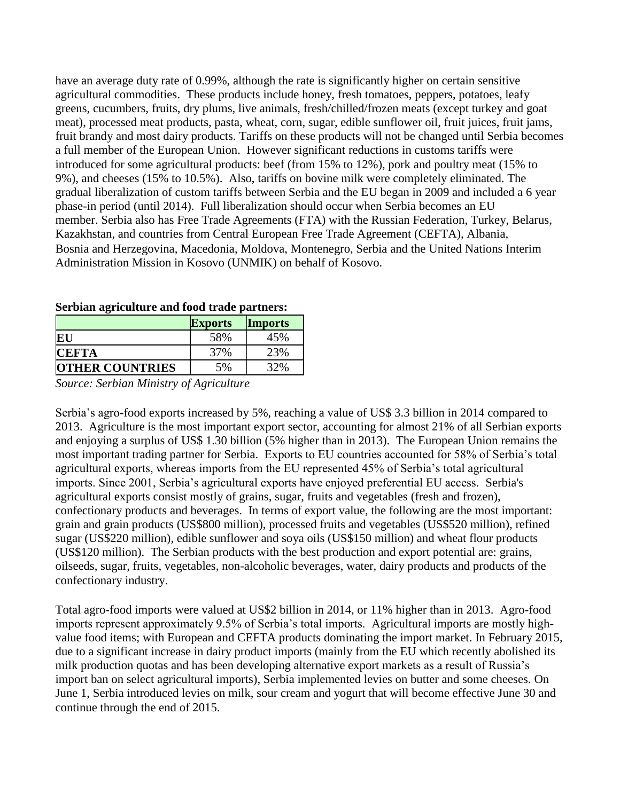have an average duty rate of 0.99%, although the rate is significantly higher on certain sensitive agricultural commodities. These products include honey, fresh tomatoes, peppers, potatoes, leafy greens, cucumbers, fruits, dry plums, live animals, fresh/chilled/frozen meats (except turkey and goat meat), processed meat products, pasta, wheat, corn, sugar, edible sunflower oil, fruit juices, fruit jams, fruit brandy and most dairy products. Tariffs on these products will not be changed until Serbia becomes a full member of the European Union. However significant reductions in customs tariffs were introduced for some agricultural products: beef (from 15% to 12%), pork and poultry meat (15% to 9%), and cheeses (15% to 10.5%). Also, tariffs on bovine milk were completely eliminated. The gradual liberalization of custom tariffs between Serbia and the EU began in 2009 and included a 6 year phase-in period (until 2014). Full liberalization should occur when Serbia becomes an EU member. Serbia also has Free Trade Agreements (FTA) with the Russian Federation, Turkey, Belarus, Kazakhstan, and countries from Central European Free Trade Agreement (CEFTA), Albania, Bosnia and Herzegovina, Macedonia, Moldova, Montenegro, Serbia and the United Nations Interim Administration Mission in Kosovo (UNMIK) on behalf of Kosovo.

| berbain agricanare and rood trade partners. |                |                |  |
|---------------------------------------------|----------------|----------------|--|
|                                             | <b>Exports</b> | <b>Imports</b> |  |
| <b>EU</b>                                   | 58%            | 45%            |  |
| <b>CEFTA</b>                                | 37%            | 23%            |  |
| <b>OTHER COUNTRIES</b>                      | 5%             | 32%            |  |

#### **Serbian agriculture and food trade partners:**

*Source: Serbian Ministry of Agriculture*

Serbia's agro-food exports increased by 5%, reaching a value of US\$ 3.3 billion in 2014 compared to 2013. Agriculture is the most important export sector, accounting for almost 21% of all Serbian exports and enjoying a surplus of US\$ 1.30 billion (5% higher than in 2013). The European Union remains the most important trading partner for Serbia. Exports to EU countries accounted for 58% of Serbia's total agricultural exports, whereas imports from the EU represented 45% of Serbia's total agricultural imports. Since 2001, Serbia's agricultural exports have enjoyed preferential EU access. Serbia's agricultural exports consist mostly of grains, sugar, fruits and vegetables (fresh and frozen), confectionary products and beverages. In terms of export value, the following are the most important: grain and grain products (US\$800 million), processed fruits and vegetables (US\$520 million), refined sugar (US\$220 million), edible sunflower and soya oils (US\$150 million) and wheat flour products (US\$120 million). The Serbian products with the best production and export potential are: grains, oilseeds, sugar, fruits, vegetables, non-alcoholic beverages, water, dairy products and products of the confectionary industry.

Total agro-food imports were valued at US\$2 billion in 2014, or 11% higher than in 2013. Agro-food imports represent approximately 9.5% of Serbia's total imports. Agricultural imports are mostly highvalue food items; with European and CEFTA products dominating the import market. In February 2015, due to a significant increase in dairy product imports (mainly from the EU which recently abolished its milk production quotas and has been developing alternative export markets as a result of Russia's import ban on select agricultural imports), Serbia implemented levies on butter and some cheeses. On June 1, Serbia introduced levies on milk, sour cream and yogurt that will become effective June 30 and continue through the end of 2015.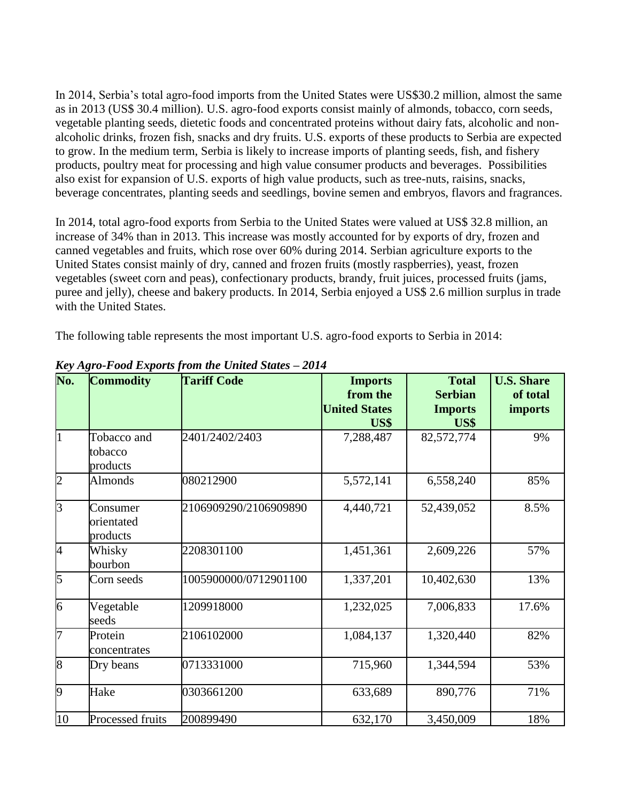In 2014, Serbia's total agro-food imports from the United States were US\$30.2 million, almost the same as in 2013 (US\$ 30.4 million). U.S. agro-food exports consist mainly of almonds, tobacco, corn seeds, vegetable planting seeds, dietetic foods and concentrated proteins without dairy fats, alcoholic and nonalcoholic drinks, frozen fish, snacks and dry fruits. U.S. exports of these products to Serbia are expected to grow. In the medium term, Serbia is likely to increase imports of planting seeds, fish, and fishery products, poultry meat for processing and high value consumer products and beverages. Possibilities also exist for expansion of U.S. exports of high value products, such as tree-nuts, raisins, snacks, beverage concentrates, planting seeds and seedlings, bovine semen and embryos, flavors and fragrances.

In 2014, total agro-food exports from Serbia to the United States were valued at US\$ 32.8 million, an increase of 34% than in 2013. This increase was mostly accounted for by exports of dry, frozen and canned vegetables and fruits, which rose over 60% during 2014. Serbian agriculture exports to the United States consist mainly of dry, canned and frozen fruits (mostly raspberries), yeast, frozen vegetables (sweet corn and peas), confectionary products, brandy, fruit juices, processed fruits (jams, puree and jelly), cheese and bakery products. In 2014, Serbia enjoyed a US\$ 2.6 million surplus in trade with the United States.

The following table represents the most important U.S. agro-food exports to Serbia in 2014:

| No.            | <b>Commodity</b>                   | <b>Tariff Code</b>    | <b>Imports</b><br>from the<br><b>United States</b> | <b>Total</b><br><b>Serbian</b><br><b>Imports</b> | <b>U.S. Share</b><br>of total<br><b>imports</b> |
|----------------|------------------------------------|-----------------------|----------------------------------------------------|--------------------------------------------------|-------------------------------------------------|
|                |                                    |                       | US\$                                               | US\$                                             |                                                 |
|                | Tobacco and<br>tobacco<br>products | 2401/2402/2403        | 7,288,487                                          | 82,572,774                                       | 9%                                              |
| $\overline{2}$ | <b>Almonds</b>                     | 080212900             | 5,572,141                                          | 6,558,240                                        | 85%                                             |
| $\overline{3}$ | Consumer<br>orientated<br>products | 2106909290/2106909890 | 4,440,721                                          | 52,439,052                                       | 8.5%                                            |
| 4              | Whisky<br>bourbon                  | 2208301100            | 1,451,361                                          | 2,609,226                                        | 57%                                             |
| 5              | Corn seeds                         | 1005900000/0712901100 | 1,337,201                                          | 10,402,630                                       | 13%                                             |
| 6              | Vegetable<br>seeds                 | 1209918000            | 1,232,025                                          | 7,006,833                                        | 17.6%                                           |
| 7              | Protein<br>concentrates            | 2106102000            | 1,084,137                                          | 1,320,440                                        | 82%                                             |
| 8              | Dry beans                          | 0713331000            | 715,960                                            | 1,344,594                                        | 53%                                             |
| $\overline{9}$ | Hake                               | 0303661200            | 633,689                                            | 890,776                                          | 71%                                             |
| 10             | Processed fruits                   | 200899490             | 632,170                                            | 3,450,009                                        | 18%                                             |

*Key Agro-Food Exports from the United States – 2014*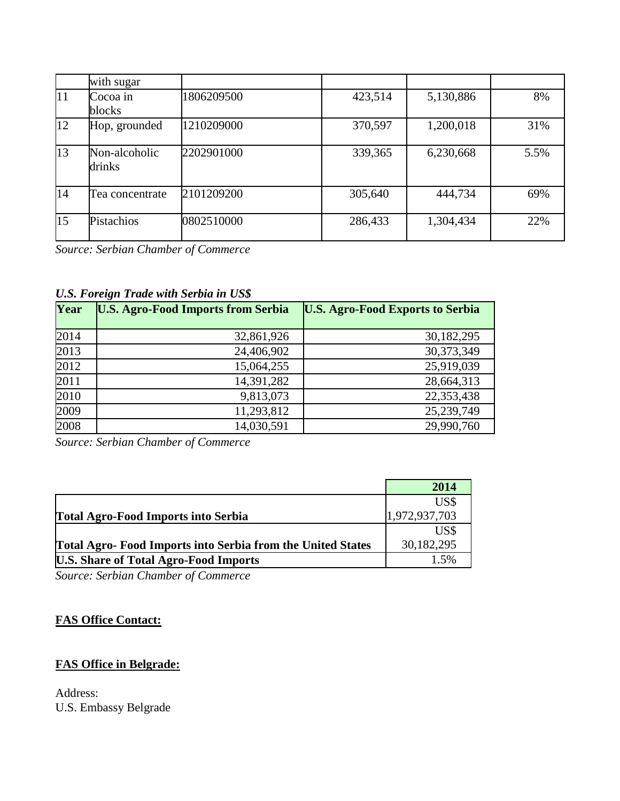|    | with sugar              |            |         |           |      |
|----|-------------------------|------------|---------|-----------|------|
| 11 | Cocoa in<br>blocks      | 1806209500 | 423,514 | 5,130,886 | 8%   |
| 12 | Hop, grounded           | 1210209000 | 370,597 | 1,200,018 | 31%  |
| 13 | Non-alcoholic<br>drinks | 2202901000 | 339,365 | 6,230,668 | 5.5% |
| 14 | Tea concentrate         | 2101209200 | 305,640 | 444,734   | 69%  |
| 15 | Pistachios              | 0802510000 | 286,433 | 1,304,434 | 22%  |

*Source: Serbian Chamber of Commerce*

# *U.S. Foreign Trade with Serbia in US\$*

| Year | <b>U.S. Agro-Food Imports from Serbia</b> | <b>U.S. Agro-Food Exports to Serbia</b> |
|------|-------------------------------------------|-----------------------------------------|
| 2014 | 32,861,926                                | 30,182,295                              |
| 2013 | 24,406,902                                | 30,373,349                              |
| 2012 | 15,064,255                                | 25,919,039                              |
| 2011 | 14,391,282                                | 28,664,313                              |
| 2010 | 9,813,073                                 | 22,353,438                              |
| 2009 | 11,293,812                                | 25,239,749                              |
| 2008 | 14,030,591                                | 29,990,760                              |

*Source: Serbian Chamber of Commerce*

|                                                             | 2014          |
|-------------------------------------------------------------|---------------|
|                                                             | US\$          |
| Total Agro-Food Imports into Serbia                         | 1,972,937,703 |
|                                                             | US\$          |
| Total Agro- Food Imports into Serbia from the United States | 30,182,295    |
| <b>U.S. Share of Total Agro-Food Imports</b>                | 1.5%          |

*Source: Serbian Chamber of Commerce*

# **FAS Office Contact:**

# **FAS Office in Belgrade:**

Address: U.S. Embassy Belgrade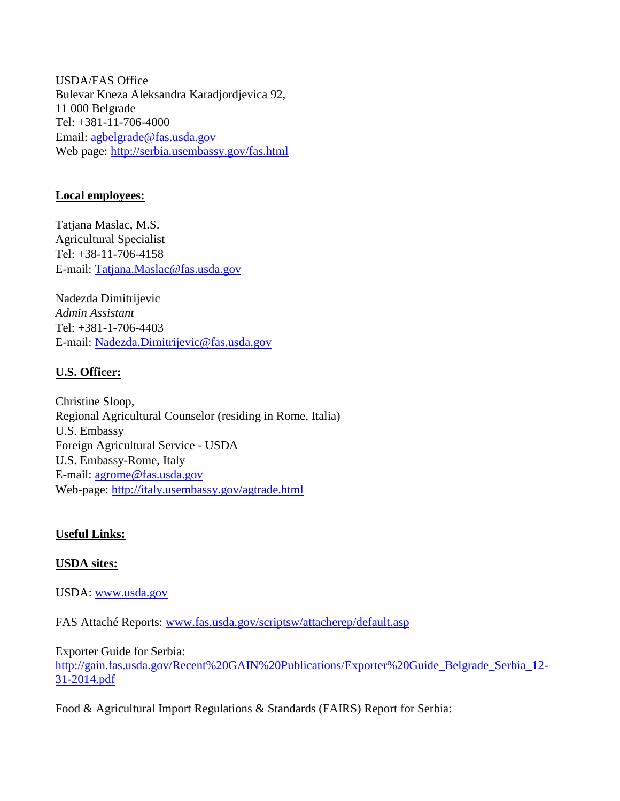USDA/FAS Office Bulevar Kneza Aleksandra Karadjordjevica 92, 11 000 Belgrade Tel: +381-11-706-4000 Email: [agbelgrade@fas.usda.gov](mailto:agbelgrade@fas.usda.gov) Web page:<http://serbia.usembassy.gov/fas.html>

# **Local employees:**

Tatjana Maslac, M.S. Agricultural Specialist Tel: +38-11-706-4158 E-mail: [Tatjana.Maslac@fas.usda.gov](mailto:Tatjana.Maslac@fas.usda.gov)

Nadezda Dimitrijevic *Admin Assistant* Tel: +381-1-706-4403 E-mail: [Nadezda.Dimitrijevic@fas.usda.gov](mailto:Nadezda.Dimitrijevic@fas.usda.gov)

# **U.S. Officer:**

Christine Sloop, Regional Agricultural Counselor (residing in Rome, Italia) U.S. Embassy Foreign Agricultural Service - USDA U.S. Embassy-Rome, Italy E-mail: [agrome@fas.usda.gov](mailto:agrome@fas.usda.gov) Web-page:<http://italy.usembassy.gov/agtrade.html>

## **Useful Links:**

## **USDA sites:**

USDA: [www.usda.gov](http://www.usda.gov/)

FAS Attaché Reports: [www.fas.usda.gov/scriptsw/attacherep/default.asp](http://www.fas.usda.gov/scriptsw/attacherep/default.asp)

Exporter Guide for Serbia: [http://gain.fas.usda.gov/Recent%20GAIN%20Publications/Exporter%20Guide\\_Belgrade\\_Serbia\\_12-](http://gain.fas.usda.gov/Recent%20GAIN%20Publications/Exporter%20Guide_Belgrade_Serbia_12-31-2014.pdf) [31-2014.pdf](http://gain.fas.usda.gov/Recent%20GAIN%20Publications/Exporter%20Guide_Belgrade_Serbia_12-31-2014.pdf)

Food & Agricultural Import Regulations & Standards (FAIRS) Report for Serbia: